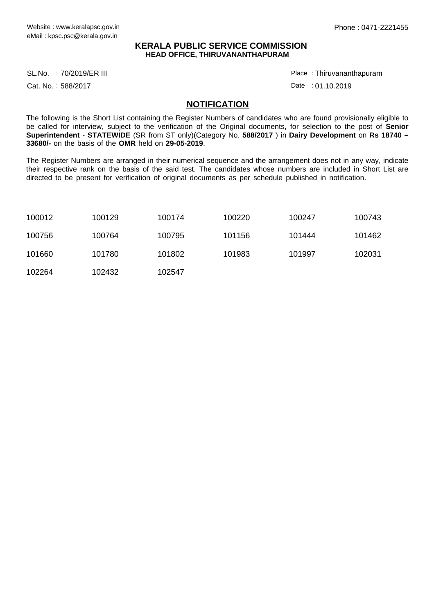## **KERALA PUBLIC SERVICE COMMISSION HEAD OFFICE, THIRUVANANTHAPURAM**

SL.No. :70/2019/ER III Place

Cat. No.: 588/2017

Thiruvananthapuram :

Date : 01.10.2019

## **NOTIFICATION**

The following is the Short List containing the Register Numbers of candidates who are found provisionally eligible to be called for interview, subject to the verification of the Original documents, for selection to the post of **Senior Superintendent** - **STATEWIDE** (SR from ST only)(Category No. **588/2017** ) in **Dairy Development** on **Rs 18740 – 33680/-** on the basis of the **OMR** held on **29-05-2019**.

The Register Numbers are arranged in their numerical sequence and the arrangement does not in any way, indicate their respective rank on the basis of the said test. The candidates whose numbers are included in Short List are directed to be present for verification of original documents as per schedule published in notification.

| 100012 | 100129 | 100174 | 100220 | 100247 | 100743 |
|--------|--------|--------|--------|--------|--------|
| 100756 | 100764 | 100795 | 101156 | 101444 | 101462 |
| 101660 | 101780 | 101802 | 101983 | 101997 | 102031 |
| 102264 | 102432 | 102547 |        |        |        |